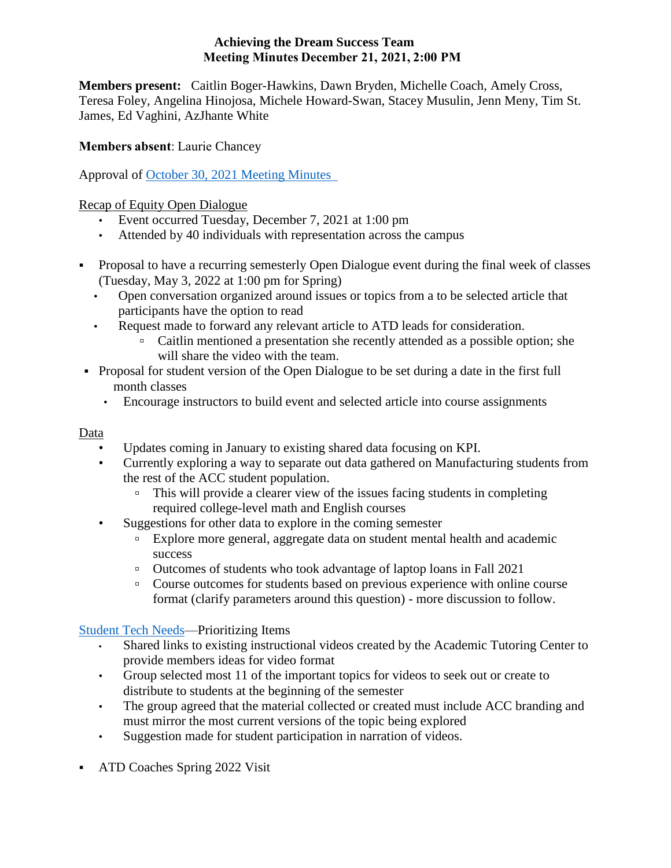### **Achieving the Dream Success Team Meeting Minutes December 21, 2021, 2:00 PM**

**Members present:** Caitlin Boger-Hawkins, Dawn Bryden, Michelle Coach, Amely Cross, Teresa Foley, Angelina Hinojosa, Michele Howard-Swan, Stacey Musulin, Jenn Meny, Tim St. James, Ed Vaghini, AzJhante White

## **Members absent**: Laurie Chancey

Approval of October 30, 2021 [Meeting Minutes](https://ctregents-my.sharepoint.com/:w:/r/personal/01495689_acc_commnet_edu/Documents/ATD%20Campus%20Leads%20Files/Campus%20Success%20Team%20Meeting%20Minutes/ATD%20Meeting%20Minutes%2011.30.21.docx?d=wd1ddc54f95674273b029ee7b13b0b2b4&csf=1&web=1&e=WV8h13) 

## Recap of Equity Open Dialogue

- Event occurred Tuesday, December 7, 2021 at 1:00 pm
- Attended by 40 individuals with representation across the campus
- Proposal to have a recurring semesterly Open Dialogue event during the final week of classes (Tuesday, May 3, 2022 at 1:00 pm for Spring)
	- Open conversation organized around issues or topics from a to be selected article that participants have the option to read
	- Request made to forward any relevant article to ATD leads for consideration.
		- Caitlin mentioned a presentation she recently attended as a possible option; she will share the video with the team.
- Proposal for student version of the Open Dialogue to be set during a date in the first full month classes
	- Encourage instructors to build event and selected article into course assignments

## Data

- Updates coming in January to existing shared data focusing on KPI.
- Currently exploring a way to separate out data gathered on Manufacturing students from the rest of the ACC student population.
	- This will provide a clearer view of the issues facing students in completing required college-level math and English courses
- Suggestions for other data to explore in the coming semester
	- Explore more general, aggregate data on student mental health and academic success
	- Outcomes of students who took advantage of laptop loans in Fall 2021
	- Course outcomes for students based on previous experience with online course format (clarify parameters around this question) - more discussion to follow.

# [Student Tech Needs—](https://ctregents-my.sharepoint.com/:w:/g/personal/01495689_acc_commnet_edu/Ed28UC3niV5KjHSIc7WUoXcB1boCTRdKoZf4g831B0O7qg)Prioritizing Items

- Shared links to existing instructional videos created by the Academic Tutoring Center to provide members ideas for video format
- Group selected most 11 of the important topics for videos to seek out or create to distribute to students at the beginning of the semester
- The group agreed that the material collected or created must include ACC branding and must mirror the most current versions of the topic being explored
- Suggestion made for student participation in narration of videos.
- ATD Coaches Spring 2022 Visit